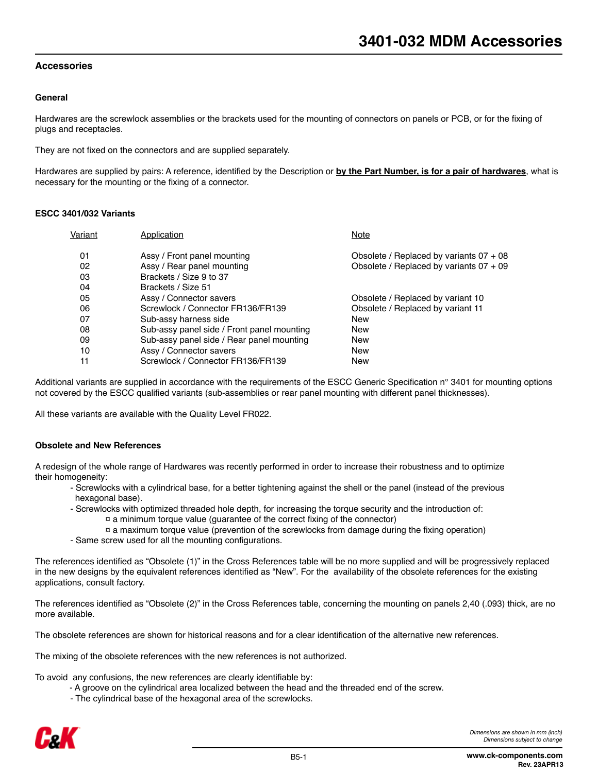## **Accessories**

#### **General**

Hardwares are the screwlock assemblies or the brackets used for the mounting of connectors on panels or PCB, or for the fixing of plugs and receptacles.

They are not fixed on the connectors and are supplied separately.

Hardwares are supplied by pairs: A reference, identified by the Description or **by the Part Number, is for a pair of hardwares**, what is necessary for the mounting or the fixing of a connector.

#### **ESCC 3401/032 Variants**

| Application                                | Note                                      |
|--------------------------------------------|-------------------------------------------|
| Assy / Front panel mounting                | Obsolete / Replaced by variants $07 + 08$ |
| Assy / Rear panel mounting                 | Obsolete / Replaced by variants $07 + 09$ |
| Brackets / Size 9 to 37                    |                                           |
| Brackets / Size 51                         |                                           |
| Assy / Connector savers                    | Obsolete / Replaced by variant 10         |
| Screwlock / Connector FR136/FR139          | Obsolete / Replaced by variant 11         |
| Sub-assy harness side                      | <b>New</b>                                |
| Sub-assy panel side / Front panel mounting | <b>New</b>                                |
| Sub-assy panel side / Rear panel mounting  | <b>New</b>                                |
| Assy / Connector savers                    | <b>New</b>                                |
| Screwlock / Connector FR136/FR139          | <b>New</b>                                |
|                                            |                                           |

Additional variants are supplied in accordance with the requirements of the ESCC Generic Specification n° 3401 for mounting options not covered by the ESCC qualified variants (sub-assemblies or rear panel mounting with different panel thicknesses).

All these variants are available with the Quality Level FR022.

#### **Obsolete and New References**

A redesign of the whole range of Hardwares was recently performed in order to increase their robustness and to optimize their homogeneity:

- Screwlocks with a cylindrical base, for a better tightening against the shell or the panel (instead of the previous hexagonal base).
- Screwlocks with optimized threaded hole depth, for increasing the torque security and the introduction of:  $\alpha$  a minimum torque value (guarantee of the correct fixing of the connector)
	- $\alpha$  a maximum torque value (prevention of the screwlocks from damage during the fixing operation)
- Same screw used for all the mounting configurations.

The references identified as "Obsolete (1)" in the Cross References table will be no more supplied and will be progressively replaced in the new designs by the equivalent references identified as "New". For the availability of the obsolete references for the existing applications, consult factory.

The references identified as "Obsolete (2)" in the Cross References table, concerning the mounting on panels 2,40 (.093) thick, are no more available.

The obsolete references are shown for historical reasons and for a clear identification of the alternative new references.

The mixing of the obsolete references with the new references is not authorized.

To avoid any confusions, the new references are clearly identifiable by:

- A groove on the cylindrical area localized between the head and the threaded end of the screw.
- The cylindrical base of the hexagonal area of the screwlocks.

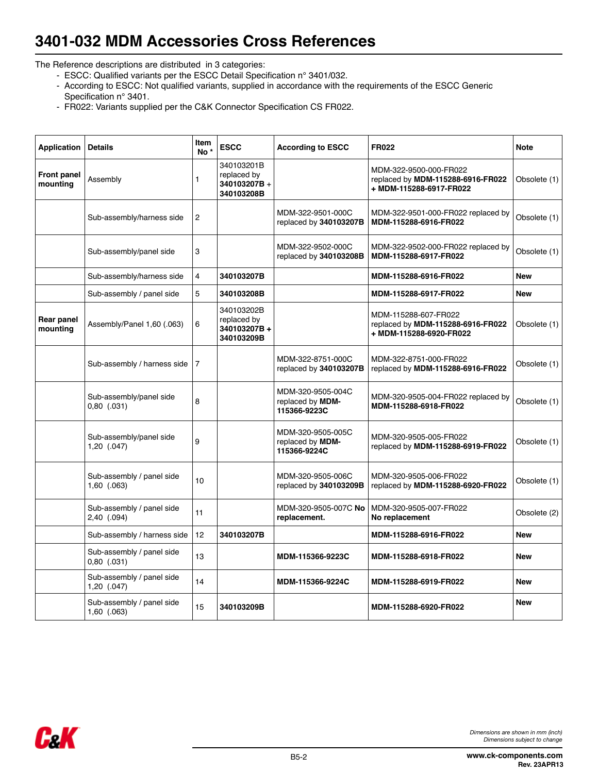# **3401-032 MDM Accessories Cross References**

The Reference descriptions are distributed in 3 categories:

- ESCC: Qualified variants per the ESCC Detail Specification n° 3401/032.
- According to ESCC: Not qualified variants, supplied in accordance with the requirements of the ESCC Generic Specification n° 3401.
- FR022: Variants supplied per the C&K Connector Specification CS FR022.

| <b>Application</b>             | <b>Details</b>                               | Item<br>No <sup>*</sup> | <b>ESCC</b>                                            | <b>According to ESCC</b>                              | <b>FR022</b>                                                                           | <b>Note</b>  |
|--------------------------------|----------------------------------------------|-------------------------|--------------------------------------------------------|-------------------------------------------------------|----------------------------------------------------------------------------------------|--------------|
| <b>Front panel</b><br>mounting | Assembly                                     | 1                       | 340103201B<br>replaced by<br>340103207B+<br>340103208B |                                                       | MDM-322-9500-000-FR022<br>replaced by MDM-115288-6916-FR022<br>+ MDM-115288-6917-FR022 | Obsolete (1) |
|                                | Sub-assembly/harness side                    | 2                       |                                                        | MDM-322-9501-000C<br>replaced by 340103207B           | MDM-322-9501-000-FR022 replaced by<br>MDM-115288-6916-FR022                            | Obsolete (1) |
|                                | Sub-assembly/panel side                      | 3                       |                                                        | MDM-322-9502-000C<br>replaced by 340103208B           | MDM-322-9502-000-FR022 replaced by<br>MDM-115288-6917-FR022                            | Obsolete (1) |
|                                | Sub-assembly/harness side                    | 4                       | 340103207B                                             |                                                       | MDM-115288-6916-FR022                                                                  | <b>New</b>   |
|                                | Sub-assembly / panel side                    | 5                       | 340103208B                                             |                                                       | MDM-115288-6917-FR022                                                                  | New          |
| Rear panel<br>mounting         | Assembly/Panel 1,60 (.063)                   | 6                       | 340103202B<br>replaced by<br>340103207B+<br>340103209B |                                                       | MDM-115288-607-FR022<br>replaced by MDM-115288-6916-FR022<br>+ MDM-115288-6920-FR022   | Obsolete (1) |
|                                | Sub-assembly / harness side                  | 7                       |                                                        | MDM-322-8751-000C<br>replaced by 340103207B           | MDM-322-8751-000-FR022<br>replaced by MDM-115288-6916-FR022                            | Obsolete (1) |
|                                | Sub-assembly/panel side<br>$0,80$ $(.031)$   | 8                       |                                                        | MDM-320-9505-004C<br>replaced by MDM-<br>115366-9223C | MDM-320-9505-004-FR022 replaced by<br>MDM-115288-6918-FR022                            | Obsolete (1) |
|                                | Sub-assembly/panel side<br>$1,20$ (.047)     | 9                       |                                                        | MDM-320-9505-005C<br>replaced by MDM-<br>115366-9224C | MDM-320-9505-005-FR022<br>replaced by MDM-115288-6919-FR022                            | Obsolete (1) |
|                                | Sub-assembly / panel side<br>1,60 (.063)     | 10                      |                                                        | MDM-320-9505-006C<br>replaced by 340103209B           | MDM-320-9505-006-FR022<br>replaced by MDM-115288-6920-FR022                            | Obsolete (1) |
|                                | Sub-assembly / panel side<br>2,40 (.094)     | 11                      |                                                        | MDM-320-9505-007C No<br>replacement.                  | MDM-320-9505-007-FR022<br>No replacement                                               | Obsolete (2) |
|                                | Sub-assembly / harness side                  | 12                      | 340103207B                                             |                                                       | MDM-115288-6916-FR022                                                                  | New          |
|                                | Sub-assembly / panel side<br>$0,80$ $(.031)$ | 13                      |                                                        | MDM-115366-9223C                                      | MDM-115288-6918-FR022                                                                  | New          |
|                                | Sub-assembly / panel side<br>$1,20$ (.047)   | 14                      |                                                        | MDM-115366-9224C                                      | MDM-115288-6919-FR022                                                                  | <b>New</b>   |
|                                | Sub-assembly / panel side<br>1,60 (.063)     | 15                      | 340103209B                                             |                                                       | MDM-115288-6920-FR022                                                                  | New          |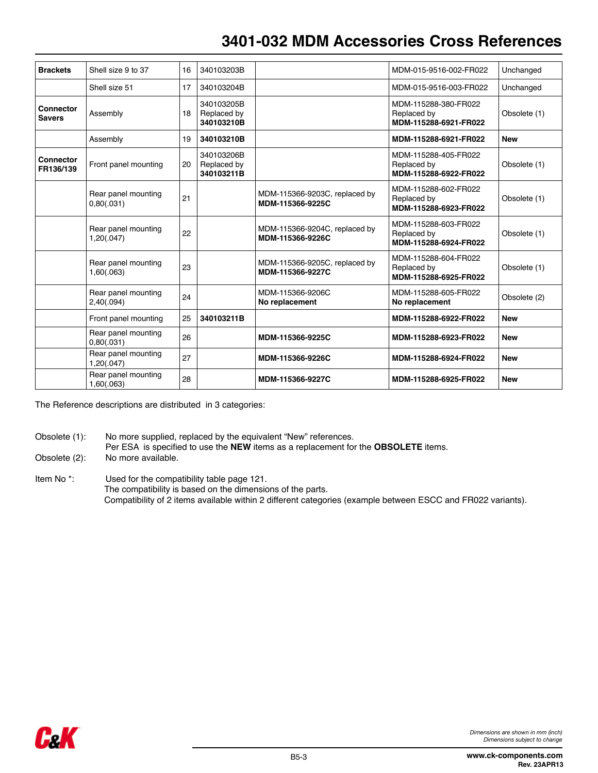# **3401-032 MDM Accessories Cross References**

| <b>Brackets</b>                   | Shell size 9 to 37                | 16 | 340103203B                              |                                                   | MDM-015-9516-002-FR022                                       | Unchanged    |
|-----------------------------------|-----------------------------------|----|-----------------------------------------|---------------------------------------------------|--------------------------------------------------------------|--------------|
|                                   | Shell size 51                     | 17 | 340103204B                              |                                                   | MDM-015-9516-003-FR022                                       | Unchanged    |
| <b>Connector</b><br><b>Savers</b> | Assembly                          | 18 | 340103205B<br>Replaced by<br>340103210B |                                                   | MDM-115288-380-FR022<br>Replaced by<br>MDM-115288-6921-FR022 | Obsolete (1) |
|                                   | Assembly                          | 19 | 340103210B                              |                                                   | MDM-115288-6921-FR022                                        | <b>New</b>   |
| Connector<br>FR136/139            | Front panel mounting              | 20 | 340103206B<br>Replaced by<br>340103211B |                                                   | MDM-115288-405-FR022<br>Replaced by<br>MDM-115288-6922-FR022 | Obsolete (1) |
|                                   | Rear panel mounting<br>0,80(.031) | 21 |                                         | MDM-115366-9203C, replaced by<br>MDM-115366-9225C | MDM-115288-602-FR022<br>Replaced by<br>MDM-115288-6923-FR022 | Obsolete (1) |
|                                   | Rear panel mounting<br>1,20(.047) | 22 |                                         | MDM-115366-9204C, replaced by<br>MDM-115366-9226C | MDM-115288-603-FR022<br>Replaced by<br>MDM-115288-6924-FR022 | Obsolete (1) |
|                                   | Rear panel mounting<br>1,60(.063) | 23 |                                         | MDM-115366-9205C, replaced by<br>MDM-115366-9227C | MDM-115288-604-FR022<br>Replaced by<br>MDM-115288-6925-FR022 | Obsolete (1) |
|                                   | Rear panel mounting<br>2,40(.094) | 24 |                                         | MDM-115366-9206C<br>No replacement                | MDM-115288-605-FR022<br>No replacement                       | Obsolete (2) |
|                                   | Front panel mounting              | 25 | 340103211B                              |                                                   | MDM-115288-6922-FR022                                        | <b>New</b>   |
|                                   | Rear panel mounting<br>0,80(.031) | 26 |                                         | MDM-115366-9225C                                  | MDM-115288-6923-FR022                                        | <b>New</b>   |
|                                   | Rear panel mounting<br>1,20(.047) | 27 |                                         | MDM-115366-9226C                                  | MDM-115288-6924-FR022                                        | <b>New</b>   |
|                                   | Rear panel mounting<br>1,60(.063) | 28 |                                         | MDM-115366-9227C                                  | MDM-115288-6925-FR022                                        | <b>New</b>   |

The Reference descriptions are distributed in 3 categories:

- Obsolete (1): No more supplied, replaced by the equivalent "New" references.
- Per ESA is specified to use the **NEW** items as a replacement for the **OBSOLETE** items.
- Obsolete (2): No more available.
- Item No \*: Used for the compatibility table page 121. The compatibility is based on the dimensions of the parts. Compatibility of 2 items available within 2 different categories (example between ESCC and FR022 variants).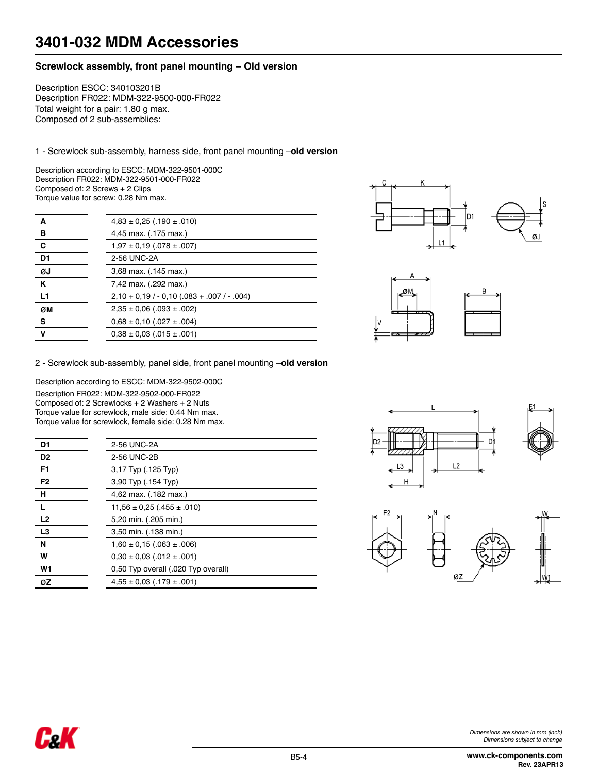## **Screwlock assembly, front panel mounting – Old version**

Description ESCC: 340103201B Description FR022: MDM-322-9500-000-FR022 Total weight for a pair: 1.80 g max. Composed of 2 sub-assemblies:

1 - Screwlock sub-assembly, harness side, front panel mounting –**old version**

Description according to ESCC: MDM-322-9501-000C Description FR022: MDM-322-9501-000-FR022 Composed of: 2 Screws + 2 Clips Torque value for screw: 0.28 Nm max.

| A              | $4,83 \pm 0,25$ (.190 $\pm$ .010)        |
|----------------|------------------------------------------|
| в              | 4,45 max. (.175 max.)                    |
| C              | $1,97 \pm 0,19$ (.078 $\pm$ .007)        |
| D <sub>1</sub> | 2-56 UNC-2A                              |
| ØJ             | 3,68 max. (.145 max.)                    |
| Κ              | 7,42 max. (.292 max.)                    |
| L <sub>1</sub> | $2,10 + 0,19 / -0,10 (083 + 007 / -004)$ |
| ØM             | $2,35 \pm 0,06$ (.093 $\pm$ .002)        |
| s              | $0,68 \pm 0,10$ (.027 $\pm .004$ )       |
| v              | $0.38 \pm 0.03$ (.015 $\pm$ .001)        |





2 - Screwlock sub-assembly, panel side, front panel mounting –**old version**

Description according to ESCC: MDM-322-9502-000C Description FR022: MDM-322-9502-000-FR022 Composed of: 2 Screwlocks + 2 Washers + 2 Nuts Torque value for screwlock, male side: 0.44 Nm max. Torque value for screwlock, female side: 0.28 Nm max.

CeK

| D <sub>1</sub> | 2-56 UNC-2A                         |
|----------------|-------------------------------------|
| D <sub>2</sub> | 2-56 UNC 2B                         |
| F <sub>1</sub> | 3,17 Typ (.125 Typ)                 |
| F <sub>2</sub> | 3,90 Typ (.154 Typ)                 |
| н              | 4,62 max. (.182 max.)               |
|                | $11,56 \pm 0,25$ (.455 ± .010)      |
| L <sub>2</sub> | 5,20 min. (.205 min.)               |
| L3             | 3,50 min. (.138 min.)               |
| N              | $1,60 \pm 0,15$ (.063 $\pm$ .006)   |
| W              | $0.30 \pm 0.03$ (.012 $\pm$ .001)   |
| W1             | 0.50 Typ overall (.020 Typ overall) |
| ØΖ             | $4.55 \pm 0.03$ (.179 $\pm$ 001)    |
|                |                                     |





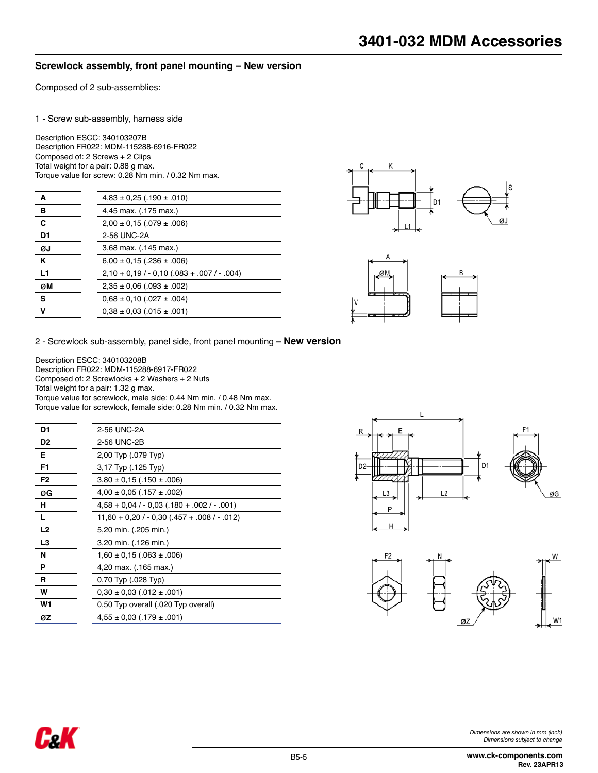## **Screwlock assembly, front panel mounting – New version**

Composed of 2 sub-assemblies:

1 - Screw sub-assembly, harness side

Description ESCC: 340103207B Description FR022: MDM-115288-6916-FR022 Composed of: 2 Screws + 2 Clips Total weight for a pair: 0.88 g max. Torque value for screw: 0.28 Nm min. / 0.32 Nm max.

| A              | $4,83 \pm 0,25$ (.190 $\pm$ .010)        |
|----------------|------------------------------------------|
| в              | 4,45 max. (.175 max.)                    |
| C              | $2,00 \pm 0,15$ (.079 $\pm .006$ )       |
| D <sub>1</sub> | 2-56 UNC-2A                              |
| ØJ             | 3,68 max. (.145 max.)                    |
| ĸ              | $6,00 \pm 0,15$ (.236 $\pm .006$ )       |
| L1             | $2,10 + 0,19 / -0,10 (083 + 007 / -004)$ |
| ØM             | $2,35 \pm 0,06$ (.093 $\pm$ .002)        |
| s              | $0,68 \pm 0,10$ (.027 $\pm .004$ )       |
| v              | $0.38 \pm 0.03$ (.015 $\pm$ .001)        |
|                |                                          |





2 - Screwlock sub-assembly, panel side, front panel mounting **– New version**

Description ESCC: 340103208B Description FR022: MDM-115288-6917-FR022 Composed of: 2 Screwlocks + 2 Washers + 2 Nuts Total weight for a pair: 1.32 g max. Torque value for screwlock, male side: 0.44 Nm min. / 0.48 Nm max. Torque value for screwlock, female side: 0.28 Nm min. / 0.32 Nm max.

| D1             | 2-56 UNC-2A                                      |
|----------------|--------------------------------------------------|
| D <sub>2</sub> | 2-56 UNC-2B                                      |
| Е              | 2,00 Typ (.079 Typ)                              |
| F1             | 3,17 Typ (.125 Typ)                              |
| F2             | $3,80 \pm 0,15$ (.150 $\pm .006$ )               |
| ØG             | $4,00 \pm 0,05$ (.157 $\pm .002$ )               |
| н              | $4,58 + 0,04 / -0,03 (180 + .002 / -001)$        |
| L              | $11,60 + 0.20 / - 0.30 (0.457 + 0.08 / - 0.012)$ |
| L <sub>2</sub> | 5,20 min. (.205 min.)                            |
| L3             | 3,20 min. (.126 min.)                            |
| N              | $1,60 \pm 0,15$ (.063 $\pm$ .006)                |
| P              | 4,20 max. (.165 max.)                            |
| R              | 0,70 Typ (.028 Typ)                              |
| W              | $0,30 \pm 0,03$ (.012 $\pm$ .001)                |
| W1             | 0,50 Typ overall (.020 Typ overall)              |
| øΖ             | $4,55 \pm 0,03$ (.179 $\pm .001$ )               |

C.K



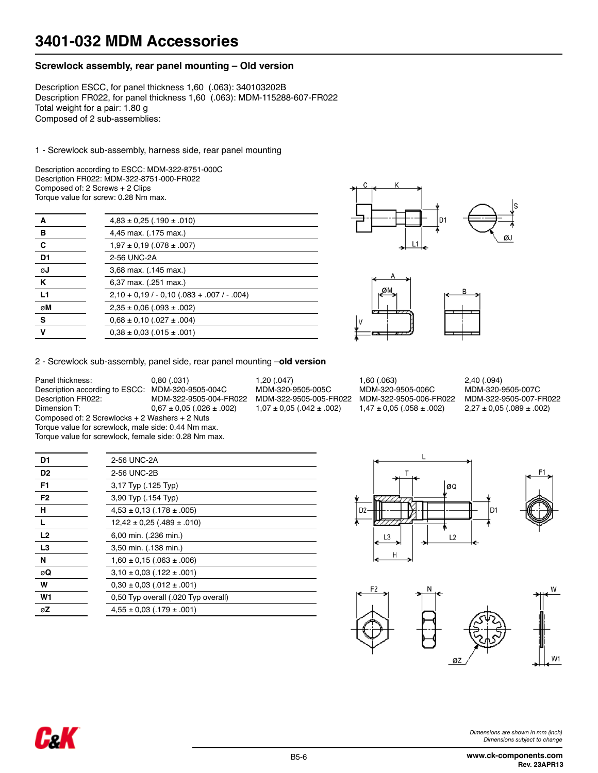## **Screwlock assembly, rear panel mounting – Old version**

Description ESCC, for panel thickness 1,60 (.063): 340103202B Description FR022, for panel thickness 1,60 (.063): MDM-115288-607-FR022 Total weight for a pair: 1.80 g Composed of 2 sub-assemblies:

1 - Screwlock sub-assembly, harness side, rear panel mounting

Description according to ESCC: MDM-322-8751-000C Description FR022: MDM-322-8751-000-FR022 Composed of: 2 Screws + 2 Clips Torque value for screw: 0.28 Nm max.

| А              | $4,83 \pm 0,25$ (.190 $\pm$ .010)        |
|----------------|------------------------------------------|
| в              | 4,45 max. (.175 max.)                    |
| C              | $1,97 \pm 0,19$ (.078 $\pm$ .007)        |
| D <sub>1</sub> | 2-56 UNC-2A                              |
| ØJ             | 3,68 max. (.145 max.)                    |
| Κ              | 6,37 max. (.251 max.)                    |
| L1             | $2,10 + 0,19 / -0,10 (083 + 007 / -004)$ |
| øM             | $2,35 \pm 0,06$ (.093 $\pm$ .002)        |
| s              | $0,68 \pm 0,10$ (.027 $\pm .004$ )       |
| $\mathbf v$    | $0.38 \pm 0.03$ (.015 $\pm$ .001)        |
|                |                                          |





Description according to ESCC: MDM-320-9505-004C MDM-320-9505-005C MDM-320-9505-006C MDM-320-9505-007C Description FR022: MDM-322-9505-004-FR022 MDM-322-9505-005-FR022 MDM-322-9505-006-FR022 MDM-322-9505-007-FR022  $2,27 \pm 0,05$  (.089  $\pm$  .002)

| 2 - Screwlock sub-assembly, panel side, rear panel mounting -old version |  |  |
|--------------------------------------------------------------------------|--|--|
|--------------------------------------------------------------------------|--|--|

| Panel thickness:                                      | $0.80$ (.031)                     | 1.20(0.047)                       | 1.60(0.063)                       | 2,40(.094)      |
|-------------------------------------------------------|-----------------------------------|-----------------------------------|-----------------------------------|-----------------|
| Description according to ESCC:                        | MDM-320-9505-004C                 | MDM-320-9505-005C                 | MDM-320-9505-006C                 | MDM-320-        |
| Description FR022:                                    | MDM-322-9505-004-FR022            | MDM-322-9505-005-FR022            | MDM-322-9505-006-FR022            | MDM-322-        |
| Dimension T:                                          | $0.67 \pm 0.05$ (.026 $\pm$ .002) | $1,07 \pm 0.05$ (.042 $\pm$ .002) | $1,47 \pm 0.05$ (.058 $\pm$ .002) | $2,27 \pm 0.05$ |
| Composed of: 2 Screwlocks + 2 Washers + 2 Nuts        |                                   |                                   |                                   |                 |
| Torque value for screwlock, male side: 0.44 Nm max.   |                                   |                                   |                                   |                 |
| Torque value for screwlock, female side: 0.28 Nm max. |                                   |                                   |                                   |                 |

| 1,60(.063)                        |  |
|-----------------------------------|--|
| MDM-320-9505-006C                 |  |
| MDM-322-9505-006-FR022            |  |
| $1,47 \pm 0,05$ (.058 $\pm$ .002) |  |

| D <sub>1</sub> | 2-56 UNC-2A                         |
|----------------|-------------------------------------|
| D <sub>2</sub> | 2-56 UNC-2B                         |
| F <sub>1</sub> | 3,17 Typ (.125 Typ)                 |
| F <sub>2</sub> | 3,90 Typ (.154 Typ)                 |
| н              | $4,53 \pm 0,13$ (.178 $\pm$ .005)   |
| L              | $12,42 \pm 0,25$ (.489 $\pm$ .010)  |
| L2             | 6,00 min. (.236 min.)               |
| L3             | 3,50 min. (.138 min.)               |
| N              | $1,60 \pm 0.15$ (.063 $\pm$ .006)   |
| øQ             | $3.10 \pm 0.03$ (.122 $\pm$ .001)   |
| w              | $0,30 \pm 0,03$ (.012 $\pm$ .001)   |
| W <sub>1</sub> | 0.50 Typ overall (.020 Typ overall) |
| øΖ             | $4.55 \pm 0.03$ (.179 $\pm$ 001)    |
|                |                                     |





*Dimensions are shown in mm (inch) Dimensions subject to change*

**www.ck-components.com Rev. 23APR13**

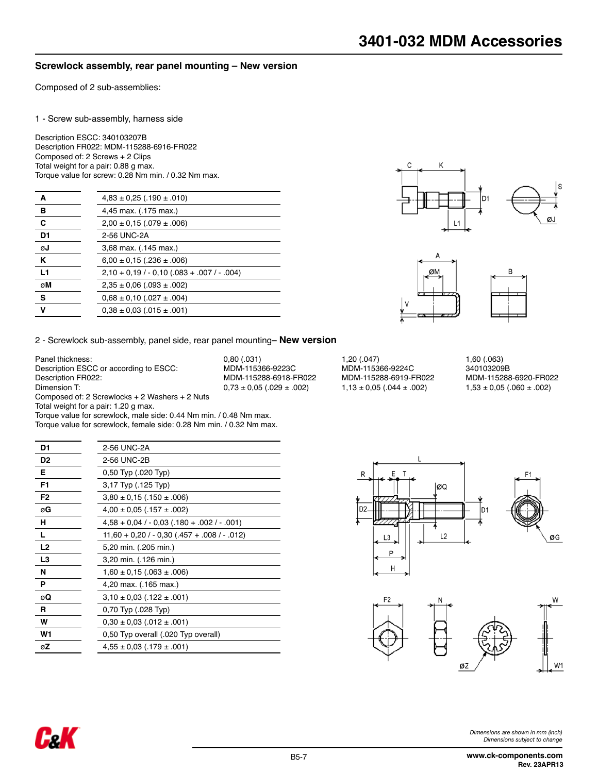## **Screwlock assembly, rear panel mounting – New version**

Composed of 2 sub-assemblies:

#### 1 - Screw sub-assembly, harness side

Description ESCC: 340103207B Description FR022: MDM-115288-6916-FR022 Composed of: 2 Screws + 2 Clips Total weight for a pair: 0.88 g max. Torque value for screw: 0.28 Nm min. / 0.32 Nm max.

| A              | $4,83 \pm 0,25$ (.190 $\pm$ .010)        |
|----------------|------------------------------------------|
| в              | 4,45 max. (.175 max.)                    |
| C              | $2,00 \pm 0,15$ (.079 $\pm$ .006)        |
| D <sub>1</sub> | 2-56 UNC-2A                              |
| ØJ             | 3,68 max. (.145 max.)                    |
| K              | $6,00 \pm 0,15$ (.236 $\pm .006$ )       |
| L1             | $2,10 + 0,19 / -0,10 (083 + 007 / -004)$ |
| øM             | $2,35 \pm 0,06$ (.093 $\pm$ .002)        |
| s              | $0,68 \pm 0,10$ (.027 $\pm .004$ )       |
| v              | $0.38 \pm 0.03$ (.015 $\pm$ .001)        |
|                |                                          |





2 - Screwlock sub-assembly, panel side, rear panel mounting**– New version**

Panel thickness: 1,60 (.063)<br>
Description ESCC or according to ESCC: MDM-115366-9223C MDM-115366-9224C 340103209B Description ESCC or according to ESCC: MDM-115366-9223C MDM-115366-9224C 340103209B Description FR022: MDM-115288-6918-FR022 MDM-115288-6919-FR022 MDM-115288-6920-FR022 Composed of: 2 Screwlocks + 2 Washers + 2 Nuts Total weight for a pair: 1.20 g max.

CzK

 $0,73 \pm 0,05$  (.029  $\pm .002$ )

| D1             | 2-56 UNC-2A                                      |
|----------------|--------------------------------------------------|
| D <sub>2</sub> | 2-56 UNC-2B                                      |
| Е              | 0,50 Typ (.020 Typ)                              |
| F1             | 3,17 Typ (.125 Typ)                              |
| F2             | $3,80 \pm 0,15$ (.150 $\pm$ .006)                |
| øG             | $4,00 \pm 0,05$ (.157 $\pm .002$ )               |
| н              | $4,58 + 0,04 / -0,03 (180 + .002 / -001)$        |
| L              | $11,60 + 0.20 / - 0.30 (0.457 + 0.08 / - 0.012)$ |
| L <sub>2</sub> | 5,20 min. (.205 min.)                            |
| L3             | 3,20 min. (.126 min.)                            |
| N              | $1,60 \pm 0,15$ (.063 $\pm$ .006)                |
| P              | 4,20 max. (.165 max.)                            |
| øQ             | $3,10 \pm 0,03$ (.122 $\pm .001$ )               |
| R              | 0,70 Typ (.028 Typ)                              |
| w              | $0,30 \pm 0,03$ (012 $\pm$ 001)                  |
| W1             | 0,50 Typ overall (.020 Typ overall)              |
| øΖ             | $4,55 \pm 0,03$ (.179 $\pm .001$ )               |
|                |                                                  |

Torque value for screwlock, male side: 0.44 Nm min. / 0.48 Nm max. Torque value for screwlock, female side: 0.28 Nm min. / 0.32 Nm max.





*Dimensions are shown in mm (inch) Dimensions subject to change*

**www.ck-components.com Rev. 23APR13**

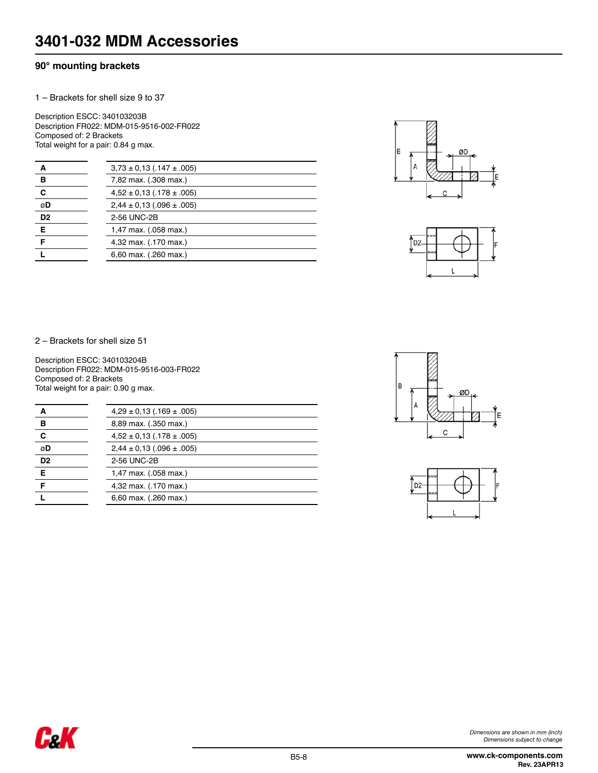# **90° mounting brackets**

1 – Brackets for shell size 9 to 37

Description ESCC: 340103203B Description FR022: MDM-015-9516-002-FR022 Composed of: 2 Brackets Total weight for a pair: 0.84 g max.

| А              | $3,73 \pm 0,13$ (.147 $\pm$ .005) |
|----------------|-----------------------------------|
| в              | 7,82 max. (.308 max.)             |
| C              | $4,52 \pm 0,13$ (.178 $\pm$ .005) |
| øD             | $2,44 \pm 0.13$ (.096 $\pm$ .005) |
| D <sub>2</sub> | 2-56 UNC-2B                       |
| E              | 1,47 max. (.058 max.)             |
| F              | 4,32 max. (.170 max.)             |
|                | 6,60 max. (.260 max.)             |
|                |                                   |





2 – Brackets for shell size 51

Description ESCC: 340103204B Description FR022: MDM-015-9516-003-FR022 Composed of: 2 Brackets Total weight for a pair: 0.90 g max.

| А              | $4,29 \pm 0,13$ (.169 $\pm$ 005)  |
|----------------|-----------------------------------|
| в              | 8,89 max. (.350 max.)             |
| C              | $4,52 \pm 0,13$ (.178 $\pm$ .005) |
| øD             | $2,44 \pm 0.13$ (.096 ± .005)     |
| D <sub>2</sub> | 2-56 UNC-2B                       |
| Е              | 1,47 max. (.058 max.)             |
| F              | 4,32 max. (.170 max.)             |
|                | 6,60 max. (.260 max.)             |



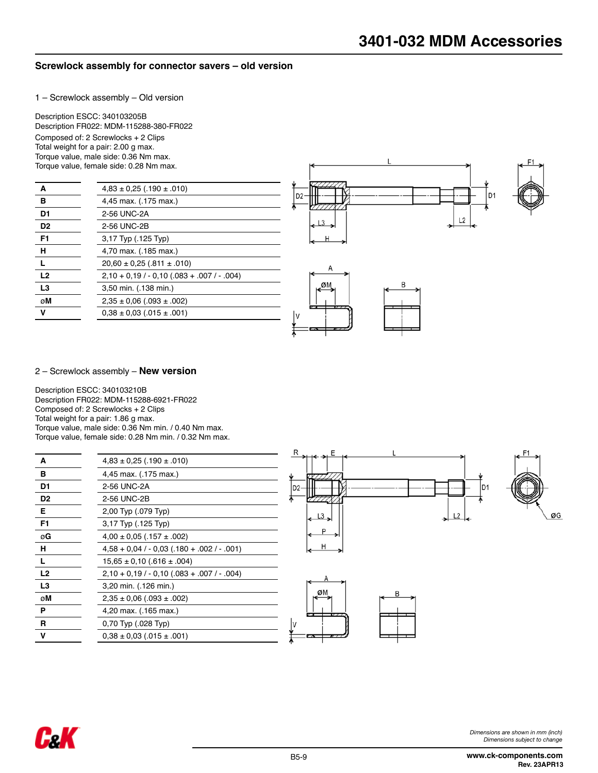## **Screwlock assembly for connector savers – old version**

1 – Screwlock assembly – Old version

Description ESCC: 340103205B Description FR022: MDM-115288-380-FR022 Composed of: 2 Screwlocks + 2 Clips Total weight for a pair: 2.00 g max.

Torque value, male side: 0.36 Nm max. Torque value, female side: 0.28 Nm max.

| A              | $4,83 \pm 0,25$ (.190 $\pm$ .010)              |  |
|----------------|------------------------------------------------|--|
| в              | 4,45 max. (.175 max.)                          |  |
| D1             | 2-56 UNC-2A                                    |  |
| D <sub>2</sub> | 2-56 UNC-2B                                    |  |
| F <sub>1</sub> | 3,17 Typ (.125 Typ)                            |  |
| н              | 4,70 max. (.185 max.)                          |  |
|                | $20,60 \pm 0,25$ (.811 $\pm$ .010)             |  |
| L <sub>2</sub> | $2,10 + 0.19 / -0.10 (0.083 + 0.007 / -0.004)$ |  |
| L3             | 3,50 min. (.138 min.)                          |  |
| øM             | $2,35 \pm 0,06$ (.093 $\pm$ .002)              |  |
| v              | $0.38 \pm 0.03$ (.015 $\pm$ .001)              |  |
|                |                                                |  |



#### 2 – Screwlock assembly – **New version**

Description ESCC: 340103210B Description FR022: MDM-115288-6921-FR022 Composed of: 2 Screwlocks + 2 Clips Total weight for a pair: 1.86 g max. Torque value, male side: 0.36 Nm min. / 0.40 Nm max. Torque value, female side: 0.28 Nm min. / 0.32 Nm max.

| A              | $4,83 \pm 0,25$ (.190 $\pm$ .010)                |
|----------------|--------------------------------------------------|
| в              | 4,45 max. (.175 max.)                            |
| D1             | 2-56 UNC-2A                                      |
| D <sub>2</sub> | 2-56 UNC-2B                                      |
| Е              | 2,00 Typ (.079 Typ)                              |
| F1             | 3,17 Typ (.125 Typ)                              |
| øG             | $4,00 \pm 0,05$ (.157 $\pm .002$ )               |
| н              | $4,58 + 0,04 / -0,03 (180 + 002 / -001)$         |
| L              | $15,65 \pm 0,10$ (.616 $\pm$ .004)               |
| L <sub>2</sub> | $2,10 + 0,19$ / $- 0,10$ (083 + 007 / $- 0.04$ ) |
| L3             | 3,20 min. (.126 min.)                            |
| øM             | $2,35 \pm 0.06$ (.093 $\pm$ .002)                |
| Р              | 4,20 max. (.165 max.)                            |
| R              | 0,70 Typ (.028 Typ)                              |
| v              | $0,38 \pm 0,03$ (.015 $\pm$ .001)                |
|                |                                                  |





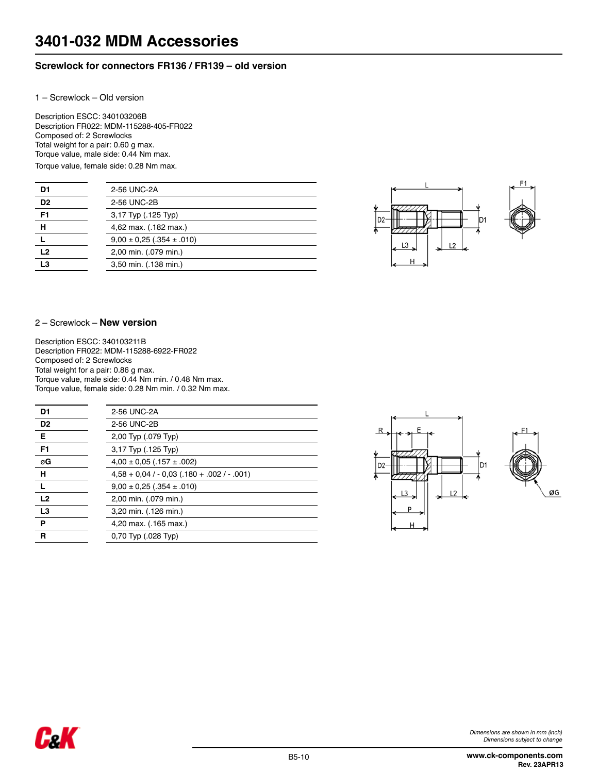# **Screwlock for connectors FR136 / FR139 – old version**

1 – Screwlock – Old version

Description ESCC: 340103206B Description FR022: MDM-115288-405-FR022 Composed of: 2 Screwlocks Total weight for a pair: 0.60 g max. Torque value, male side: 0.44 Nm max. Torque value, female side: 0.28 Nm max.

| D <sub>1</sub> | 2-56 UNC-2A                       |
|----------------|-----------------------------------|
| D <sub>2</sub> | 2-56 UNC-2B                       |
| F <sub>1</sub> | 3,17 Typ (.125 Typ)               |
| н              | 4,62 max. (.182 max.)             |
|                | $9.00 \pm 0.25$ (.354 $\pm$ .010) |
| L <sub>2</sub> | 2,00 min. (.079 min.)             |
| L <sub>3</sub> | 3,50 min. (.138 min.)             |



#### 2 – Screwlock – **New version**

Description ESCC: 340103211B Description FR022: MDM-115288-6922-FR022 Composed of: 2 Screwlocks Total weight for a pair: 0.86 g max. Torque value, male side: 0.44 Nm min. / 0.48 Nm max. Torque value, female side: 0.28 Nm min. / 0.32 Nm max.

| D1             | 2-56 UNC-2A                                |
|----------------|--------------------------------------------|
| D <sub>2</sub> | 2-56 UNC-2B                                |
| Е              | 2,00 Typ (.079 Typ)                        |
| F1             | 3,17 Typ (.125 Typ)                        |
| øG             | $4,00 \pm 0,05$ (.157 $\pm .002$ )         |
| н              | $4,58 + 0,04 / -0,03 (180 + .002 / -.001)$ |
|                | $9,00 \pm 0,25$ (.354 $\pm$ .010)          |
| L2             | 2,00 min. (.079 min.)                      |
| L3             | 3,20 min. (.126 min.)                      |
| P              | 4,20 max. (.165 max.)                      |
| R              | 0.70 Typ (.028 Typ)                        |



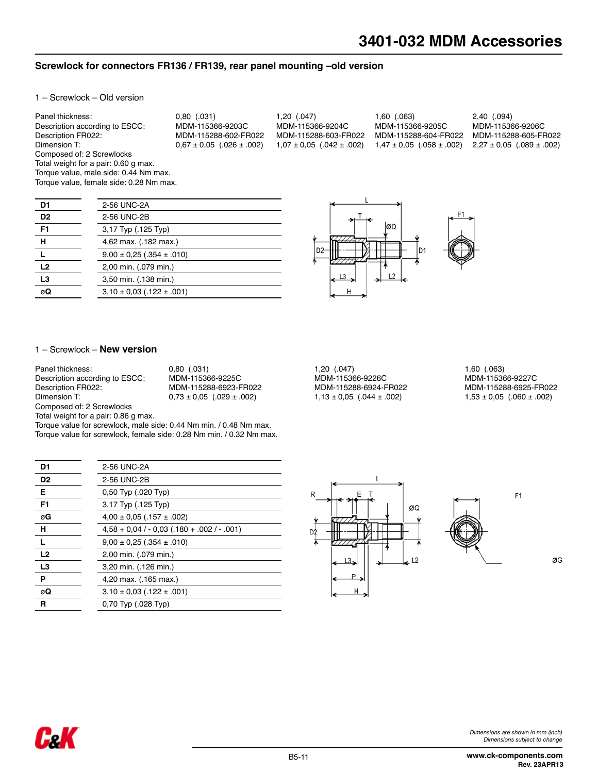#### **Screwlock for connectors FR136 / FR139, rear panel mounting –old version**

1 – Screwlock – Old version

Panel thickness: 0,80 (.031) 1,20 (.047) 1,60 (.063) 2,40 (.094) Description according to ESCC: MDM-115366-9203C MDM-115366-9204C MDM-115366-9205C MDM-115366-9206C Description FR022: MDM-115288-602-FR022 MDM-115288-603-FR022 MDM-115288-604-FR022 MDM-115288-605-FR022  $1,47 \pm 0,05$  (.058  $\pm$  .002) 2,27  $\pm$  0,05 (.089  $\pm$  .002) Composed of: 2 Screwlocks Total weight for a pair: 0.60 g max. Torque value, male side: 0.44 Nm max. Torque value, female side: 0.28 Nm max.

| D1             | 2-56 UNC-2A                       |
|----------------|-----------------------------------|
| D <sub>2</sub> | 2-56 UNC-2B                       |
| F <sub>1</sub> | 3,17 Typ (.125 Typ)               |
| н              | 4,62 max. (.182 max.)             |
|                | $9.00 \pm 0.25$ (.354 $\pm$ .010) |
| L2             | 2,00 min. (.079 min.)             |
| L <sub>3</sub> | 3,50 min. (.138 min.)             |
| øΩ             | $3.10 \pm 0.03$ (.122 $\pm$ .001) |



#### 1 – Screwlock – **New version**

| Panel thickness:                     | 0.80(0.031)                       | 1.20(0.047)                       | 1,60 (.063)     |
|--------------------------------------|-----------------------------------|-----------------------------------|-----------------|
| Description according to ESCC:       | MDM-115366-9225C                  | MDM-115366-9226C                  | MDM-1153        |
| Description FR022:                   | MDM-115288-6923-FR022             | MDM-115288-6924-FR022             | MDM-1152        |
| Dimension T:                         | $0.73 \pm 0.05$ (.029 $\pm$ .002) | $1.13 \pm 0.05$ (.044 $\pm$ .002) | $1,53 \pm 0.05$ |
| Composed of: 2 Screwlocks            |                                   |                                   |                 |
| Total weight for a pair: 0.86 g max. |                                   |                                   |                 |

Torque value for screwlock, male side: 0.44 Nm min. / 0.48 Nm max. Torque value for screwlock, female side: 0.28 Nm min. / 0.32 Nm max.

| D1             | 2-56 UNC-2A                                        |
|----------------|----------------------------------------------------|
|                |                                                    |
| D <sub>2</sub> | 2-56 UNC-2B                                        |
| Е              | 0,50 Typ (.020 Typ)                                |
| F <sub>1</sub> | 3,17 Typ (.125 Typ)                                |
| øG             | $4,00 \pm 0,05$ (.157 $\pm .002$ )                 |
| н              | $4.58 + 0.04$ / $- 0.03$ (.180 + .002 / $- 0.01$ ) |
|                | $9.00 \pm 0.25$ (.354 $\pm$ .010)                  |
| L2             | 2,00 min. (.079 min.)                              |
| L <sub>3</sub> | 3,20 min. (.126 min.)                              |
| Ρ              | 4,20 max. (.165 max.)                              |
| øQ             | $3.10 \pm 0.03$ (.122 $\pm$ 001)                   |
| R              | 0.70 Typ (.028 Typ)                                |

Description according to ESCC: MDM-115366-9225C MDM-115366-9226C MDM-115366-9227C  $1,13 \pm 0,05$  (.044  $\pm$  .002)

MDM-115288-6925-FR022<br>1,53 ± 0,05 (.060 ± .002)



F<sub>1</sub>

ØG

**Frik**